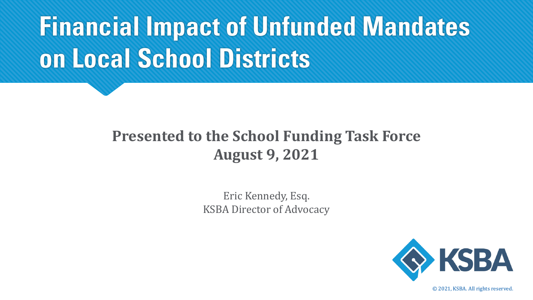# **Financial Impact of Unfunded Mandates on Local School Districts**

#### **Presented to the School Funding Task Force August 9, 2021**

Eric Kennedy, Esq. KSBA Director of Advocacy



*©* 2021, KSBA. All rights reserved.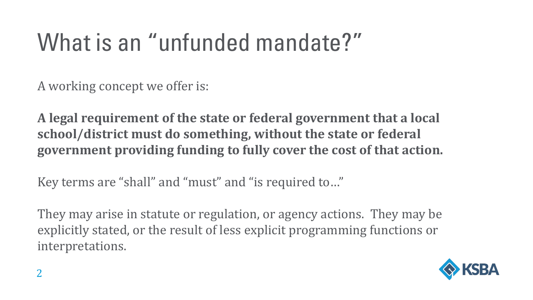### What is an "unfunded mandate?"

A working concept we offer is:

**A legal requirement of the state or federal government that a local school/district must do something, without the state or federal government providing funding to fully cover the cost of that action.**

Key terms are "shall" and "must" and "is required to…"

They may arise in statute or regulation, or agency actions. They may be explicitly stated, or the result of less explicit programming functions or interpretations.

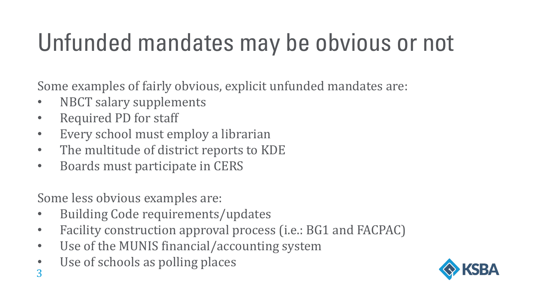# Unfunded mandates may be obvious or not

Some examples of fairly obvious, explicit unfunded mandates are:

- NBCT salary supplements
- Required PD for staff
- Every school must employ a librarian
- The multitude of district reports to KDE
- Boards must participate in CERS

Some less obvious examples are:

- Building Code requirements/updates
- Facility construction approval process (i.e.: BG1 and FACPAC)
- Use of the MUNIS financial/accounting system
- Use of schools as polling places

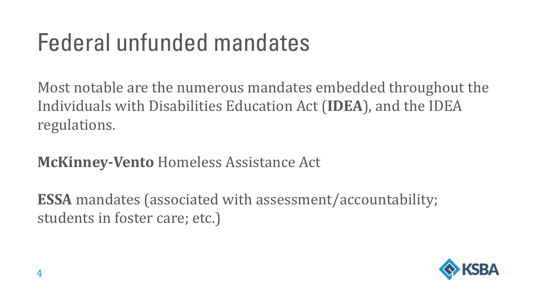### Federal unfunded mandates

Most notable are the numerous mandates embedded throughout the Individuals with Disabilities Education Act (**IDEA**), and the IDEA regulations.

**McKinney-Vento** Homeless Assistance Act

**ESSA** mandates (associated with assessment/accountability; students in foster care; etc.)

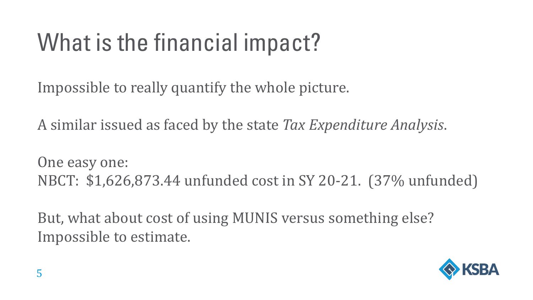# What is the financial impact?

Impossible to really quantify the whole picture.

A similar issued as faced by the state *Tax Expenditure Analysis*.

One easy one: NBCT: \$1,626,873.44 unfunded cost in SY 20-21. (37% unfunded)

But, what about cost of using MUNIS versus something else? Impossible to estimate.

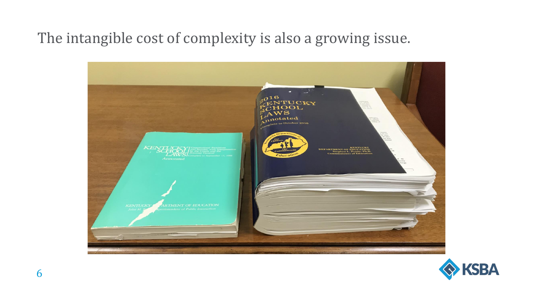#### The intangible cost of complexity is also a growing issue.



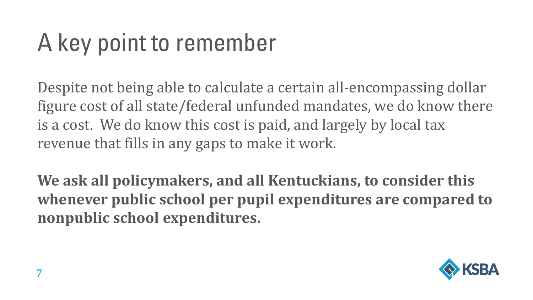# A key point to remember

Despite not being able to calculate a certain all-encompassing dollar figure cost of all state/federal unfunded mandates, we do know there is a cost. We do know this cost is paid, and largely by local tax revenue that fills in any gaps to make it work.

**We ask all policymakers, and all Kentuckians, to consider this whenever public school per pupil expenditures are compared to nonpublic school expenditures.**